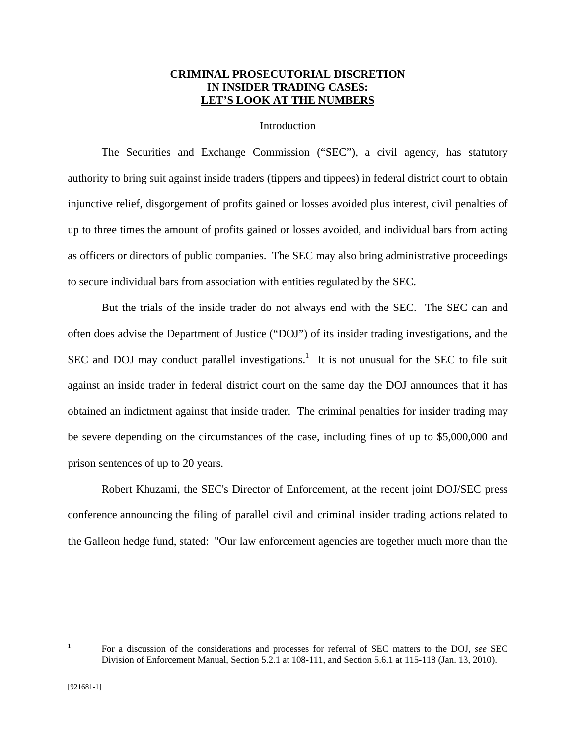# **CRIMINAL PROSECUTORIAL DISCRETION IN INSIDER TRADING CASES: LET'S LOOK AT THE NUMBERS**

### Introduction

 The Securities and Exchange Commission ("SEC"), a civil agency, has statutory authority to bring suit against inside traders (tippers and tippees) in federal district court to obtain injunctive relief, disgorgement of profits gained or losses avoided plus interest, civil penalties of up to three times the amount of profits gained or losses avoided, and individual bars from acting as officers or directors of public companies. The SEC may also bring administrative proceedings to secure individual bars from association with entities regulated by the SEC.

 But the trials of the inside trader do not always end with the SEC. The SEC can and often does advise the Department of Justice ("DOJ") of its insider trading investigations, and the SEC and DOJ may conduct parallel investigations.<sup>1</sup> It is not unusual for the SEC to file suit against an inside trader in federal district court on the same day the DOJ announces that it has obtained an indictment against that inside trader. The criminal penalties for insider trading may be severe depending on the circumstances of the case, including fines of up to \$5,000,000 and prison sentences of up to 20 years.

Robert Khuzami, the SEC's Director of Enforcement, at the recent joint DOJ/SEC press conference announcing the filing of parallel civil and criminal insider trading actions related to the Galleon hedge fund, stated: "Our law enforcement agencies are together much more than the

 $\overline{a}$ 1

For a discussion of the considerations and processes for referral of SEC matters to the DOJ, *see* SEC Division of Enforcement Manual, Section 5.2.1 at 108-111, and Section 5.6.1 at 115-118 (Jan. 13, 2010).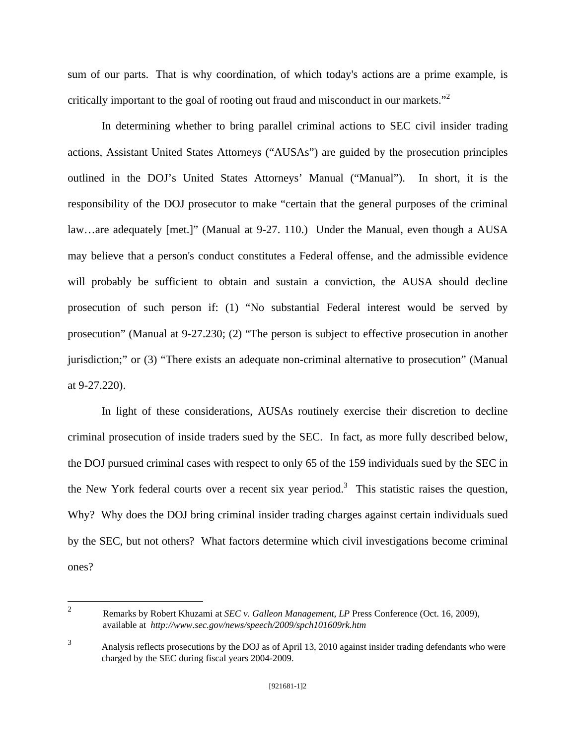sum of our parts. That is why coordination, of which today's actions are a prime example, is critically important to the goal of rooting out fraud and misconduct in our markets."<sup>2</sup>

In determining whether to bring parallel criminal actions to SEC civil insider trading actions, Assistant United States Attorneys ("AUSAs") are guided by the prosecution principles outlined in the DOJ's United States Attorneys' Manual ("Manual"). In short, it is the responsibility of the DOJ prosecutor to make "certain that the general purposes of the criminal law…are adequately [met.]" (Manual at 9-27. 110.) Under the Manual, even though a AUSA may believe that a person's conduct constitutes a Federal offense, and the admissible evidence will probably be sufficient to obtain and sustain a conviction, the AUSA should decline prosecution of such person if: (1) "No substantial Federal interest would be served by prosecution" (Manual at 9-27.230; (2) "The person is subject to effective prosecution in another jurisdiction;" or (3) "There exists an adequate non-criminal alternative to prosecution" (Manual at 9-27.220).

 In light of these considerations, AUSAs routinely exercise their discretion to decline criminal prosecution of inside traders sued by the SEC. In fact, as more fully described below, the DOJ pursued criminal cases with respect to only 65 of the 159 individuals sued by the SEC in the New York federal courts over a recent six year period.<sup>3</sup> This statistic raises the question, Why? Why does the DOJ bring criminal insider trading charges against certain individuals sued by the SEC, but not others? What factors determine which civil investigations become criminal ones?

 $\frac{1}{2}$ 

Remarks by Robert Khuzami at *SEC v. Galleon Management, LP* Press Conference (Oct. 16, 2009), available at *http://www.sec.gov/news/speech/2009/spch101609rk.htm*

<sup>&</sup>lt;sup>3</sup> Analysis reflects prosecutions by the DOJ as of April 13, 2010 against insider trading defendants who were charged by the SEC during fiscal years 2004-2009.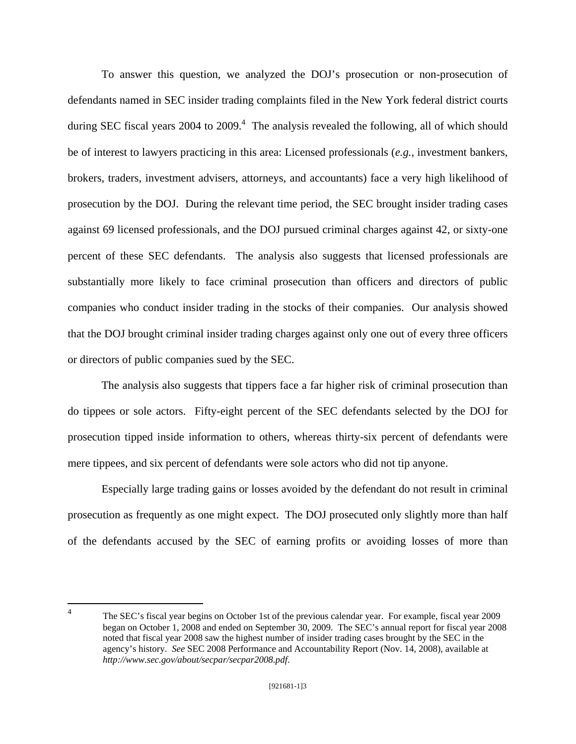To answer this question, we analyzed the DOJ's prosecution or non-prosecution of defendants named in SEC insider trading complaints filed in the New York federal district courts during SEC fiscal years 2004 to 2009. $4$  The analysis revealed the following, all of which should be of interest to lawyers practicing in this area: Licensed professionals (*e.g.*, investment bankers, brokers, traders, investment advisers, attorneys, and accountants) face a very high likelihood of prosecution by the DOJ. During the relevant time period, the SEC brought insider trading cases against 69 licensed professionals, and the DOJ pursued criminal charges against 42, or sixty-one percent of these SEC defendants. The analysis also suggests that licensed professionals are substantially more likely to face criminal prosecution than officers and directors of public companies who conduct insider trading in the stocks of their companies. Our analysis showed that the DOJ brought criminal insider trading charges against only one out of every three officers or directors of public companies sued by the SEC.

 The analysis also suggests that tippers face a far higher risk of criminal prosecution than do tippees or sole actors. Fifty-eight percent of the SEC defendants selected by the DOJ for prosecution tipped inside information to others, whereas thirty-six percent of defendants were mere tippees, and six percent of defendants were sole actors who did not tip anyone.

 Especially large trading gains or losses avoided by the defendant do not result in criminal prosecution as frequently as one might expect. The DOJ prosecuted only slightly more than half of the defendants accused by the SEC of earning profits or avoiding losses of more than

 $\frac{1}{4}$ 

The SEC's fiscal year begins on October 1st of the previous calendar year. For example, fiscal year 2009 began on October 1, 2008 and ended on September 30, 2009. The SEC's annual report for fiscal year 2008 noted that fiscal year 2008 saw the highest number of insider trading cases brought by the SEC in the agency's history. *See* SEC 2008 Performance and Accountability Report (Nov. 14, 2008), available at *http://www.sec.gov/about/secpar/secpar2008.pdf*.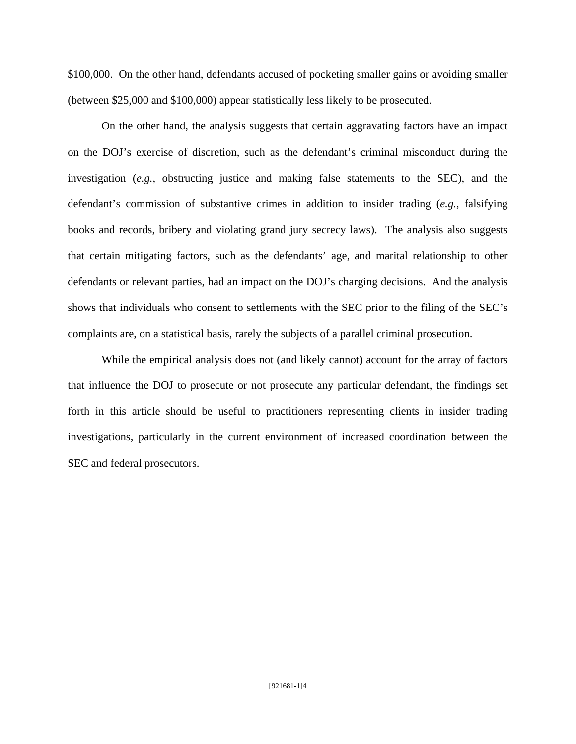\$100,000. On the other hand, defendants accused of pocketing smaller gains or avoiding smaller (between \$25,000 and \$100,000) appear statistically less likely to be prosecuted.

 On the other hand, the analysis suggests that certain aggravating factors have an impact on the DOJ's exercise of discretion, such as the defendant's criminal misconduct during the investigation (*e.g.*, obstructing justice and making false statements to the SEC), and the defendant's commission of substantive crimes in addition to insider trading (*e.g.*, falsifying books and records, bribery and violating grand jury secrecy laws). The analysis also suggests that certain mitigating factors, such as the defendants' age, and marital relationship to other defendants or relevant parties, had an impact on the DOJ's charging decisions. And the analysis shows that individuals who consent to settlements with the SEC prior to the filing of the SEC's complaints are, on a statistical basis, rarely the subjects of a parallel criminal prosecution.

 While the empirical analysis does not (and likely cannot) account for the array of factors that influence the DOJ to prosecute or not prosecute any particular defendant, the findings set forth in this article should be useful to practitioners representing clients in insider trading investigations, particularly in the current environment of increased coordination between the SEC and federal prosecutors.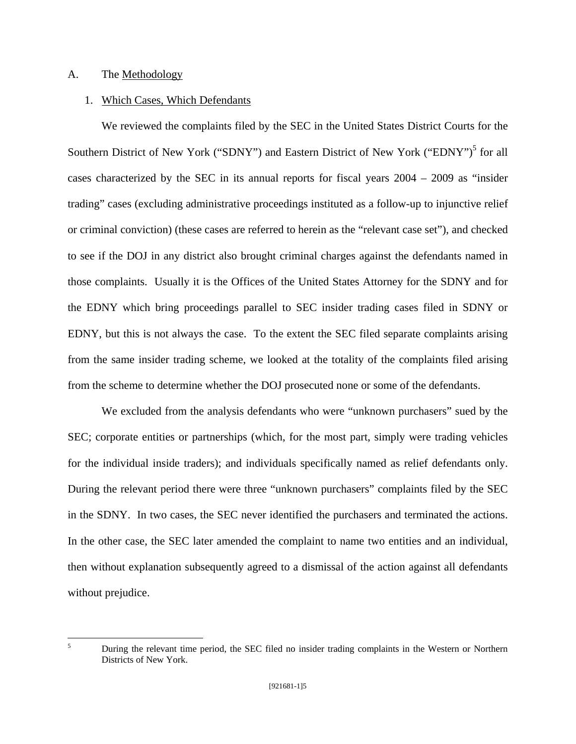# A. The Methodology

# 1. Which Cases, Which Defendants

 We reviewed the complaints filed by the SEC in the United States District Courts for the Southern District of New York ("SDNY") and Eastern District of New York ("EDNY")<sup>5</sup> for all cases characterized by the SEC in its annual reports for fiscal years 2004 – 2009 as "insider trading" cases (excluding administrative proceedings instituted as a follow-up to injunctive relief or criminal conviction) (these cases are referred to herein as the "relevant case set"), and checked to see if the DOJ in any district also brought criminal charges against the defendants named in those complaints. Usually it is the Offices of the United States Attorney for the SDNY and for the EDNY which bring proceedings parallel to SEC insider trading cases filed in SDNY or EDNY, but this is not always the case. To the extent the SEC filed separate complaints arising from the same insider trading scheme, we looked at the totality of the complaints filed arising from the scheme to determine whether the DOJ prosecuted none or some of the defendants.

 We excluded from the analysis defendants who were "unknown purchasers" sued by the SEC; corporate entities or partnerships (which, for the most part, simply were trading vehicles for the individual inside traders); and individuals specifically named as relief defendants only. During the relevant period there were three "unknown purchasers" complaints filed by the SEC in the SDNY. In two cases, the SEC never identified the purchasers and terminated the actions. In the other case, the SEC later amended the complaint to name two entities and an individual, then without explanation subsequently agreed to a dismissal of the action against all defendants without prejudice.

5

During the relevant time period, the SEC filed no insider trading complaints in the Western or Northern Districts of New York.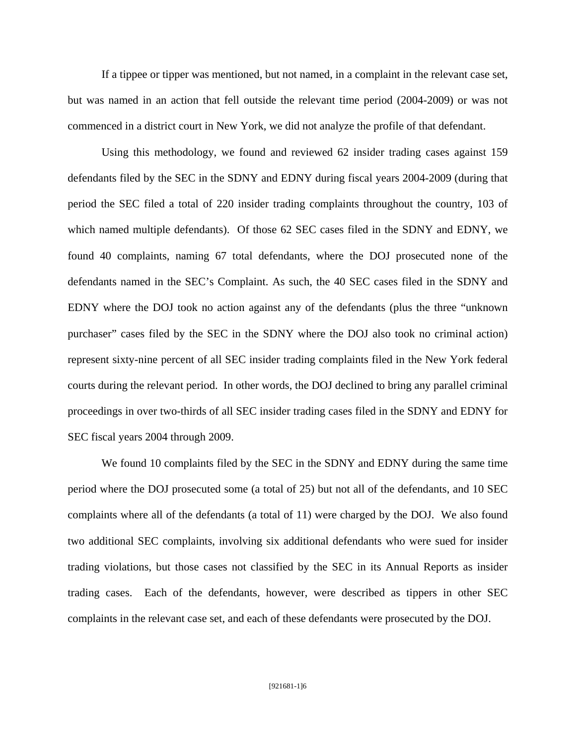If a tippee or tipper was mentioned, but not named, in a complaint in the relevant case set, but was named in an action that fell outside the relevant time period (2004-2009) or was not commenced in a district court in New York, we did not analyze the profile of that defendant.

 Using this methodology, we found and reviewed 62 insider trading cases against 159 defendants filed by the SEC in the SDNY and EDNY during fiscal years 2004-2009 (during that period the SEC filed a total of 220 insider trading complaints throughout the country, 103 of which named multiple defendants). Of those 62 SEC cases filed in the SDNY and EDNY, we found 40 complaints, naming 67 total defendants, where the DOJ prosecuted none of the defendants named in the SEC's Complaint. As such, the 40 SEC cases filed in the SDNY and EDNY where the DOJ took no action against any of the defendants (plus the three "unknown purchaser" cases filed by the SEC in the SDNY where the DOJ also took no criminal action) represent sixty-nine percent of all SEC insider trading complaints filed in the New York federal courts during the relevant period. In other words, the DOJ declined to bring any parallel criminal proceedings in over two-thirds of all SEC insider trading cases filed in the SDNY and EDNY for SEC fiscal years 2004 through 2009.

We found 10 complaints filed by the SEC in the SDNY and EDNY during the same time period where the DOJ prosecuted some (a total of 25) but not all of the defendants, and 10 SEC complaints where all of the defendants (a total of 11) were charged by the DOJ. We also found two additional SEC complaints, involving six additional defendants who were sued for insider trading violations, but those cases not classified by the SEC in its Annual Reports as insider trading cases. Each of the defendants, however, were described as tippers in other SEC complaints in the relevant case set, and each of these defendants were prosecuted by the DOJ.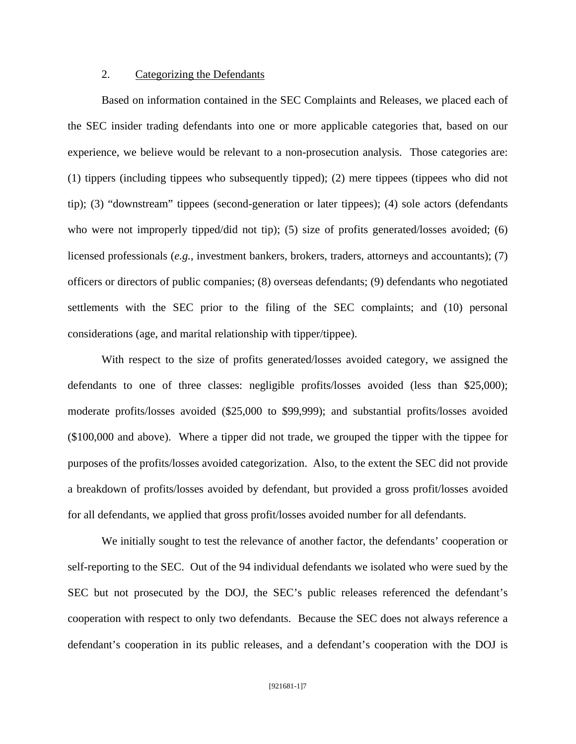## 2. Categorizing the Defendants

 Based on information contained in the SEC Complaints and Releases, we placed each of the SEC insider trading defendants into one or more applicable categories that, based on our experience, we believe would be relevant to a non-prosecution analysis. Those categories are: (1) tippers (including tippees who subsequently tipped); (2) mere tippees (tippees who did not tip); (3) "downstream" tippees (second-generation or later tippees); (4) sole actors (defendants who were not improperly tipped/did not tip); (5) size of profits generated/losses avoided; (6) licensed professionals (*e.g.*, investment bankers, brokers, traders, attorneys and accountants); (7) officers or directors of public companies; (8) overseas defendants; (9) defendants who negotiated settlements with the SEC prior to the filing of the SEC complaints; and (10) personal considerations (age, and marital relationship with tipper/tippee).

With respect to the size of profits generated/losses avoided category, we assigned the defendants to one of three classes: negligible profits/losses avoided (less than \$25,000); moderate profits/losses avoided (\$25,000 to \$99,999); and substantial profits/losses avoided (\$100,000 and above). Where a tipper did not trade, we grouped the tipper with the tippee for purposes of the profits/losses avoided categorization. Also, to the extent the SEC did not provide a breakdown of profits/losses avoided by defendant, but provided a gross profit/losses avoided for all defendants, we applied that gross profit/losses avoided number for all defendants.

 We initially sought to test the relevance of another factor, the defendants' cooperation or self-reporting to the SEC. Out of the 94 individual defendants we isolated who were sued by the SEC but not prosecuted by the DOJ, the SEC's public releases referenced the defendant's cooperation with respect to only two defendants. Because the SEC does not always reference a defendant's cooperation in its public releases, and a defendant's cooperation with the DOJ is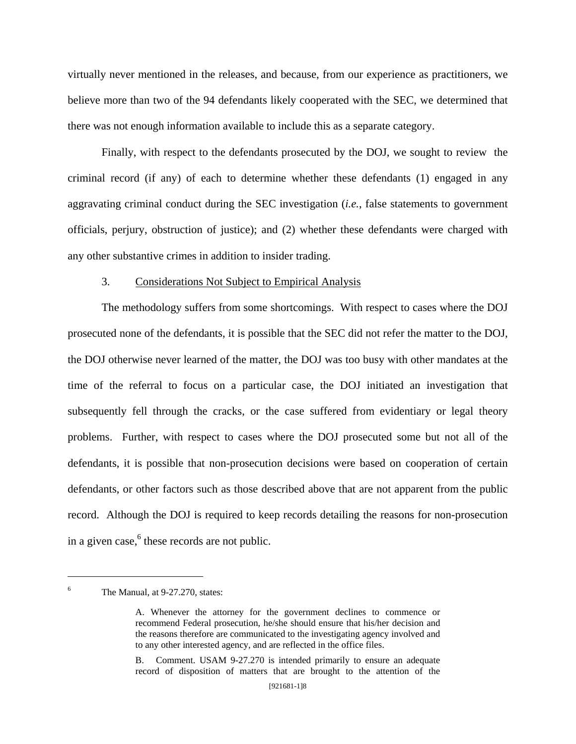virtually never mentioned in the releases, and because, from our experience as practitioners, we believe more than two of the 94 defendants likely cooperated with the SEC, we determined that there was not enough information available to include this as a separate category.

 Finally, with respect to the defendants prosecuted by the DOJ, we sought to review the criminal record (if any) of each to determine whether these defendants (1) engaged in any aggravating criminal conduct during the SEC investigation (*i.e.*, false statements to government officials, perjury, obstruction of justice); and (2) whether these defendants were charged with any other substantive crimes in addition to insider trading.

## 3. Considerations Not Subject to Empirical Analysis

 The methodology suffers from some shortcomings. With respect to cases where the DOJ prosecuted none of the defendants, it is possible that the SEC did not refer the matter to the DOJ, the DOJ otherwise never learned of the matter, the DOJ was too busy with other mandates at the time of the referral to focus on a particular case, the DOJ initiated an investigation that subsequently fell through the cracks, or the case suffered from evidentiary or legal theory problems. Further, with respect to cases where the DOJ prosecuted some but not all of the defendants, it is possible that non-prosecution decisions were based on cooperation of certain defendants, or other factors such as those described above that are not apparent from the public record. Although the DOJ is required to keep records detailing the reasons for non-prosecution in a given case, $6$  these records are not public.

 $\overline{a}$ 6

The Manual, at 9-27.270, states:

A. Whenever the attorney for the government declines to commence or recommend Federal prosecution, he/she should ensure that his/her decision and the reasons therefore are communicated to the investigating agency involved and to any other interested agency, and are reflected in the office files.

B. Comment. USAM 9-27.270 is intended primarily to ensure an adequate record of disposition of matters that are brought to the attention of the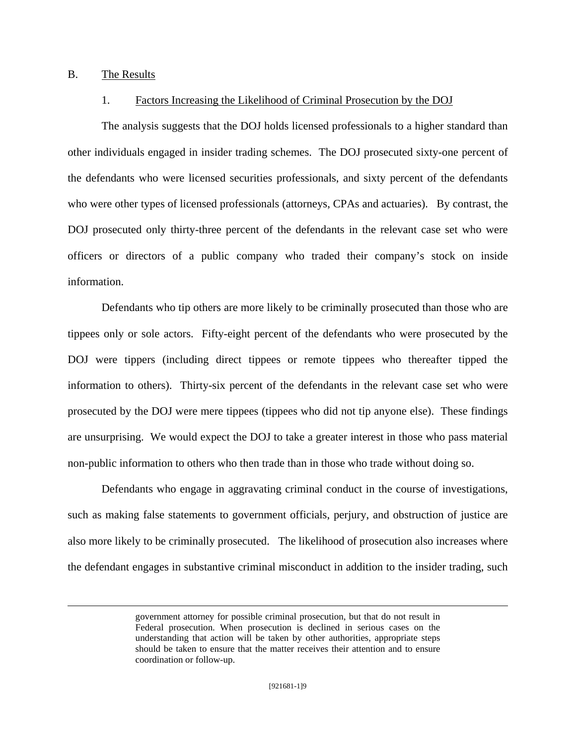## B. The Results

## 1. Factors Increasing the Likelihood of Criminal Prosecution by the DOJ

 The analysis suggests that the DOJ holds licensed professionals to a higher standard than other individuals engaged in insider trading schemes. The DOJ prosecuted sixty-one percent of the defendants who were licensed securities professionals, and sixty percent of the defendants who were other types of licensed professionals (attorneys, CPAs and actuaries). By contrast, the DOJ prosecuted only thirty-three percent of the defendants in the relevant case set who were officers or directors of a public company who traded their company's stock on inside information.

 Defendants who tip others are more likely to be criminally prosecuted than those who are tippees only or sole actors. Fifty-eight percent of the defendants who were prosecuted by the DOJ were tippers (including direct tippees or remote tippees who thereafter tipped the information to others). Thirty-six percent of the defendants in the relevant case set who were prosecuted by the DOJ were mere tippees (tippees who did not tip anyone else). These findings are unsurprising. We would expect the DOJ to take a greater interest in those who pass material non-public information to others who then trade than in those who trade without doing so.

 Defendants who engage in aggravating criminal conduct in the course of investigations, such as making false statements to government officials, perjury, and obstruction of justice are also more likely to be criminally prosecuted. The likelihood of prosecution also increases where the defendant engages in substantive criminal misconduct in addition to the insider trading, such

government attorney for possible criminal prosecution, but that do not result in Federal prosecution. When prosecution is declined in serious cases on the understanding that action will be taken by other authorities, appropriate steps should be taken to ensure that the matter receives their attention and to ensure coordination or follow-up.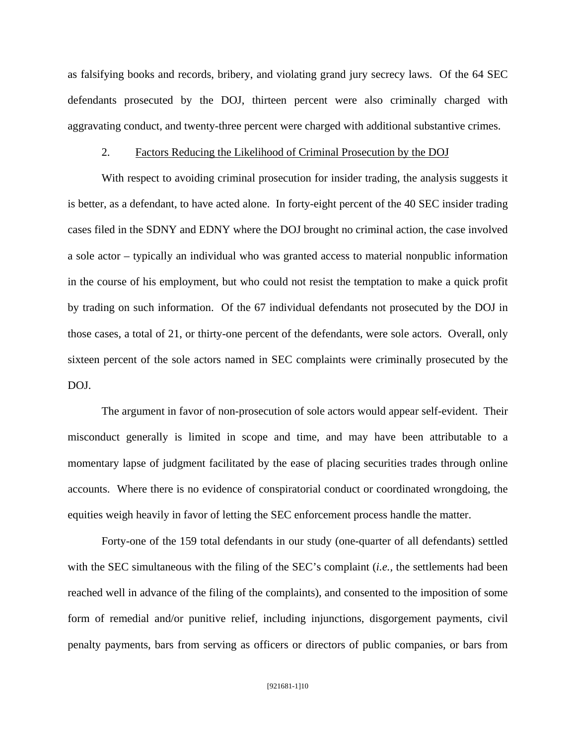as falsifying books and records, bribery, and violating grand jury secrecy laws. Of the 64 SEC defendants prosecuted by the DOJ, thirteen percent were also criminally charged with aggravating conduct, and twenty-three percent were charged with additional substantive crimes.

## 2. Factors Reducing the Likelihood of Criminal Prosecution by the DOJ

With respect to avoiding criminal prosecution for insider trading, the analysis suggests it is better, as a defendant, to have acted alone. In forty-eight percent of the 40 SEC insider trading cases filed in the SDNY and EDNY where the DOJ brought no criminal action, the case involved a sole actor – typically an individual who was granted access to material nonpublic information in the course of his employment, but who could not resist the temptation to make a quick profit by trading on such information. Of the 67 individual defendants not prosecuted by the DOJ in those cases, a total of 21, or thirty-one percent of the defendants, were sole actors. Overall, only sixteen percent of the sole actors named in SEC complaints were criminally prosecuted by the DOJ.

 The argument in favor of non-prosecution of sole actors would appear self-evident. Their misconduct generally is limited in scope and time, and may have been attributable to a momentary lapse of judgment facilitated by the ease of placing securities trades through online accounts. Where there is no evidence of conspiratorial conduct or coordinated wrongdoing, the equities weigh heavily in favor of letting the SEC enforcement process handle the matter.

 Forty-one of the 159 total defendants in our study (one-quarter of all defendants) settled with the SEC simultaneous with the filing of the SEC's complaint (*i.e.,* the settlements had been reached well in advance of the filing of the complaints), and consented to the imposition of some form of remedial and/or punitive relief, including injunctions, disgorgement payments, civil penalty payments, bars from serving as officers or directors of public companies, or bars from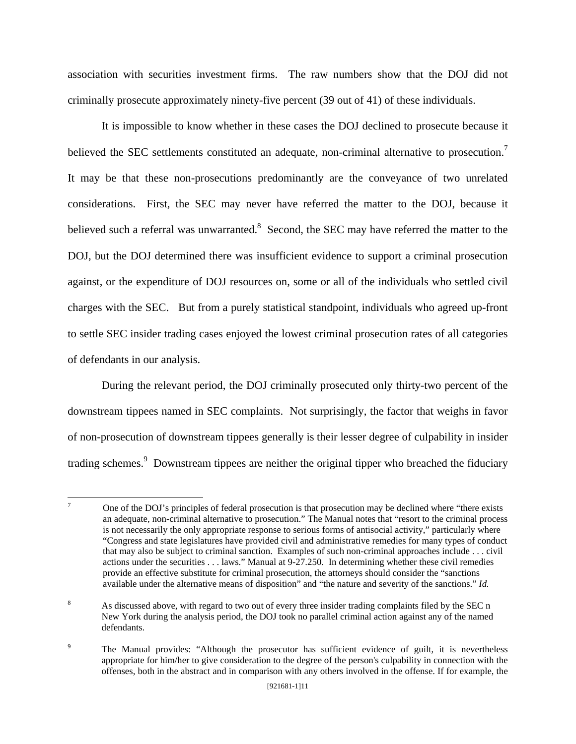association with securities investment firms. The raw numbers show that the DOJ did not criminally prosecute approximately ninety-five percent (39 out of 41) of these individuals.

It is impossible to know whether in these cases the DOJ declined to prosecute because it believed the SEC settlements constituted an adequate, non-criminal alternative to prosecution.<sup>7</sup> It may be that these non-prosecutions predominantly are the conveyance of two unrelated considerations. First, the SEC may never have referred the matter to the DOJ, because it believed such a referral was unwarranted. $8$  Second, the SEC may have referred the matter to the DOJ, but the DOJ determined there was insufficient evidence to support a criminal prosecution against, or the expenditure of DOJ resources on, some or all of the individuals who settled civil charges with the SEC. But from a purely statistical standpoint, individuals who agreed up-front to settle SEC insider trading cases enjoyed the lowest criminal prosecution rates of all categories of defendants in our analysis.

 During the relevant period, the DOJ criminally prosecuted only thirty-two percent of the downstream tippees named in SEC complaints. Not surprisingly, the factor that weighs in favor of non-prosecution of downstream tippees generally is their lesser degree of culpability in insider trading schemes.<sup>9</sup> Downstream tippees are neither the original tipper who breached the fiduciary

<sup>-&</sup>lt;br>7 One of the DOJ's principles of federal prosecution is that prosecution may be declined where "there exists an adequate, non-criminal alternative to prosecution." The Manual notes that "resort to the criminal process is not necessarily the only appropriate response to serious forms of antisocial activity," particularly where "Congress and state legislatures have provided civil and administrative remedies for many types of conduct that may also be subject to criminal sanction. Examples of such non-criminal approaches include . . . civil actions under the securities . . . laws." Manual at 9-27.250. In determining whether these civil remedies provide an effective substitute for criminal prosecution, the attorneys should consider the "sanctions available under the alternative means of disposition" and "the nature and severity of the sanctions." *Id.*

<sup>8</sup> As discussed above, with regard to two out of every three insider trading complaints filed by the SEC n New York during the analysis period, the DOJ took no parallel criminal action against any of the named defendants.

<sup>9</sup> The Manual provides: "Although the prosecutor has sufficient evidence of guilt, it is nevertheless appropriate for him/her to give consideration to the degree of the person's culpability in connection with the offenses, both in the abstract and in comparison with any others involved in the offense. If for example, the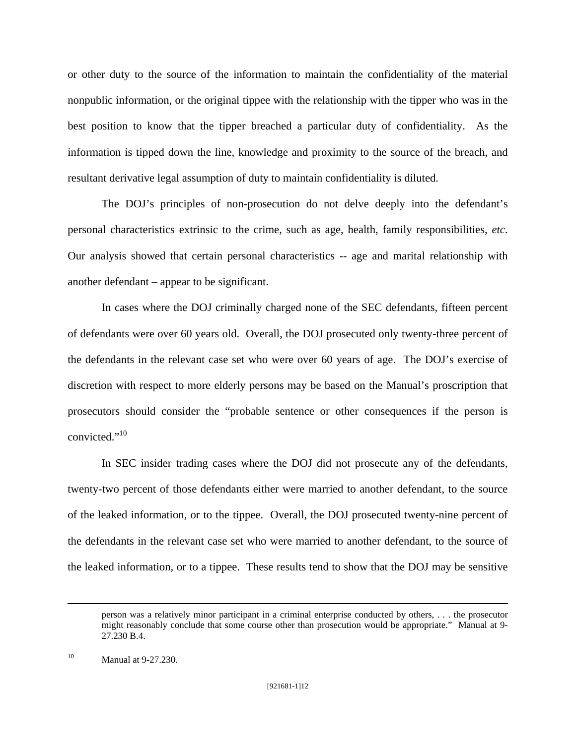or other duty to the source of the information to maintain the confidentiality of the material nonpublic information, or the original tippee with the relationship with the tipper who was in the best position to know that the tipper breached a particular duty of confidentiality. As the information is tipped down the line, knowledge and proximity to the source of the breach, and resultant derivative legal assumption of duty to maintain confidentiality is diluted.

 The DOJ's principles of non-prosecution do not delve deeply into the defendant's personal characteristics extrinsic to the crime, such as age, health, family responsibilities, *etc*. Our analysis showed that certain personal characteristics -- age and marital relationship with another defendant – appear to be significant.

 In cases where the DOJ criminally charged none of the SEC defendants, fifteen percent of defendants were over 60 years old. Overall, the DOJ prosecuted only twenty-three percent of the defendants in the relevant case set who were over 60 years of age. The DOJ's exercise of discretion with respect to more elderly persons may be based on the Manual's proscription that prosecutors should consider the "probable sentence or other consequences if the person is convicted."<sup>10</sup>

 In SEC insider trading cases where the DOJ did not prosecute any of the defendants, twenty-two percent of those defendants either were married to another defendant, to the source of the leaked information, or to the tippee. Overall, the DOJ prosecuted twenty-nine percent of the defendants in the relevant case set who were married to another defendant, to the source of the leaked information, or to a tippee. These results tend to show that the DOJ may be sensitive

person was a relatively minor participant in a criminal enterprise conducted by others, . . . the prosecutor might reasonably conclude that some course other than prosecution would be appropriate." Manual at 9- 27.230 B.4.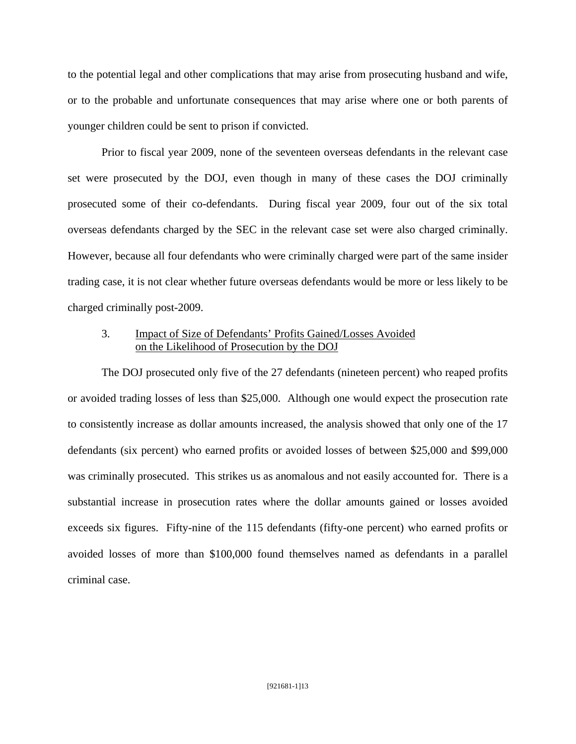to the potential legal and other complications that may arise from prosecuting husband and wife, or to the probable and unfortunate consequences that may arise where one or both parents of younger children could be sent to prison if convicted.

 Prior to fiscal year 2009, none of the seventeen overseas defendants in the relevant case set were prosecuted by the DOJ, even though in many of these cases the DOJ criminally prosecuted some of their co-defendants. During fiscal year 2009, four out of the six total overseas defendants charged by the SEC in the relevant case set were also charged criminally. However, because all four defendants who were criminally charged were part of the same insider trading case, it is not clear whether future overseas defendants would be more or less likely to be charged criminally post-2009.

# 3. Impact of Size of Defendants' Profits Gained/Losses Avoided on the Likelihood of Prosecution by the DOJ

The DOJ prosecuted only five of the 27 defendants (nineteen percent) who reaped profits or avoided trading losses of less than \$25,000. Although one would expect the prosecution rate to consistently increase as dollar amounts increased, the analysis showed that only one of the 17 defendants (six percent) who earned profits or avoided losses of between \$25,000 and \$99,000 was criminally prosecuted. This strikes us as anomalous and not easily accounted for. There is a substantial increase in prosecution rates where the dollar amounts gained or losses avoided exceeds six figures. Fifty-nine of the 115 defendants (fifty-one percent) who earned profits or avoided losses of more than \$100,000 found themselves named as defendants in a parallel criminal case.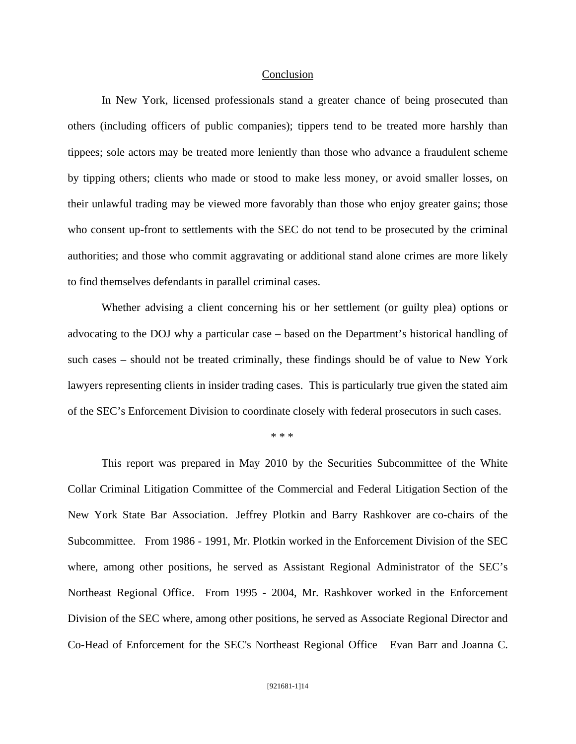#### Conclusion

 In New York, licensed professionals stand a greater chance of being prosecuted than others (including officers of public companies); tippers tend to be treated more harshly than tippees; sole actors may be treated more leniently than those who advance a fraudulent scheme by tipping others; clients who made or stood to make less money, or avoid smaller losses, on their unlawful trading may be viewed more favorably than those who enjoy greater gains; those who consent up-front to settlements with the SEC do not tend to be prosecuted by the criminal authorities; and those who commit aggravating or additional stand alone crimes are more likely to find themselves defendants in parallel criminal cases.

 Whether advising a client concerning his or her settlement (or guilty plea) options or advocating to the DOJ why a particular case – based on the Department's historical handling of such cases – should not be treated criminally, these findings should be of value to New York lawyers representing clients in insider trading cases. This is particularly true given the stated aim of the SEC's Enforcement Division to coordinate closely with federal prosecutors in such cases.

## $* * *$

 This report was prepared in May 2010 by the Securities Subcommittee of the White Collar Criminal Litigation Committee of the Commercial and Federal Litigation Section of the New York State Bar Association. Jeffrey Plotkin and Barry Rashkover are co-chairs of the Subcommittee. From 1986 - 1991, Mr. Plotkin worked in the Enforcement Division of the SEC where, among other positions, he served as Assistant Regional Administrator of the SEC's Northeast Regional Office. From 1995 - 2004, Mr. Rashkover worked in the Enforcement Division of the SEC where, among other positions, he served as Associate Regional Director and Co-Head of Enforcement for the SEC's Northeast Regional Office Evan Barr and Joanna C.